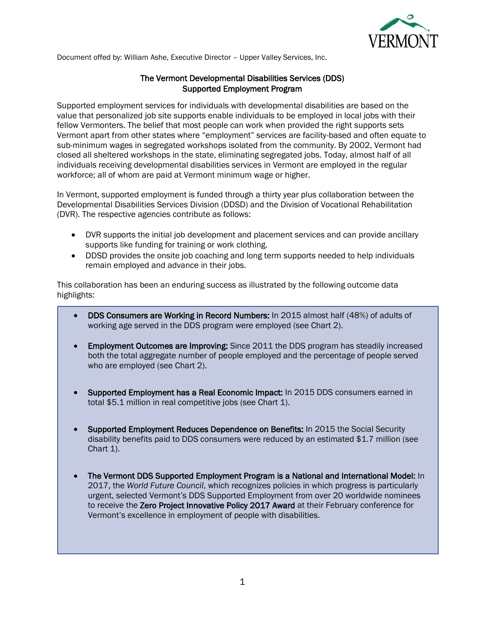

Document offed by: William Ashe, Executive Director – Upper Valley Services, Inc.

## The Vermont Developmental Disabilities Services (DDS) Supported Employment Program

Supported employment services for individuals with developmental disabilities are based on the value that personalized job site supports enable individuals to be employed in local jobs with their fellow Vermonters. The belief that most people can work when provided the right supports sets Vermont apart from other states where "employment" services are facility-based and often equate to sub-minimum wages in segregated workshops isolated from the community. By 2002, Vermont had closed all sheltered workshops in the state, eliminating segregated jobs. Today, almost half of all individuals receiving developmental disabilities services in Vermont are employed in the regular workforce; all of whom are paid at Vermont minimum wage or higher.

In Vermont, supported employment is funded through a thirty year plus collaboration between the Developmental Disabilities Services Division (DDSD) and the Division of Vocational Rehabilitation (DVR). The respective agencies contribute as follows:

- DVR supports the initial job development and placement services and can provide ancillary supports like funding for training or work clothing.
- DDSD provides the onsite job coaching and long term supports needed to help individuals remain employed and advance in their jobs.

This collaboration has been an enduring success as illustrated by the following outcome data highlights:

- DDS Consumers are Working in Record Numbers: In 2015 almost half (48%) of adults of working age served in the DDS program were employed (see Chart 2).
- Employment Outcomes are Improving: Since 2011 the DDS program has steadily increased both the total aggregate number of people employed and the percentage of people served who are employed (see Chart 2).
- Supported Employment has a Real Economic Impact: In 2015 DDS consumers earned in total \$5.1 million in real competitive jobs (see Chart 1).
- Supported Employment Reduces Dependence on Benefits: In 2015 the Social Security disability benefits paid to DDS consumers were reduced by an estimated \$1.7 million (see Chart 1).
- The Vermont DDS Supported Employment Program is a National and International Model: In 2017, the *World Future Council*, which recognizes policies in which progress is particularly urgent, selected Vermont's DDS Supported Employment from over 20 worldwide nominees to receive the Zero Project Innovative Policy 2017 Award at their February conference for Vermont's excellence in employment of people with disabilities.